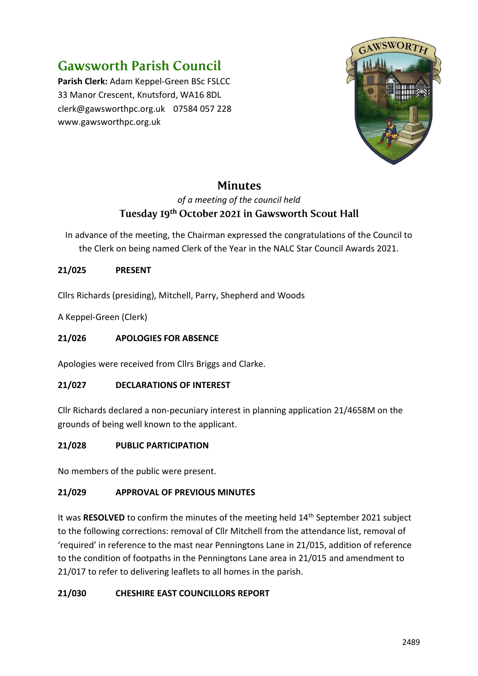# **Gawsworth Parish Council**

**Parish Clerk:** Adam Keppel-Green BSc FSLCC 33 Manor Crescent, Knutsford, WA16 8DL clerk@gawsworthpc.org.uk 07584 057 228 www.gawsworthpc.org.uk



## **Minutes**

### *of a meeting of the council held* Tuesday 19th October 2021 in Gawsworth Scout Hall

In advance of the meeting, the Chairman expressed the congratulations of the Council to the Clerk on being named Clerk of the Year in the NALC Star Council Awards 2021.

#### **21/025 PRESENT**

Cllrs Richards (presiding), Mitchell, Parry, Shepherd and Woods

A Keppel-Green (Clerk)

#### **21/026 APOLOGIES FOR ABSENCE**

Apologies were received from Cllrs Briggs and Clarke.

#### **21/027 DECLARATIONS OF INTEREST**

Cllr Richards declared a non-pecuniary interest in planning application 21/4658M on the grounds of being well known to the applicant.

#### **21/028 PUBLIC PARTICIPATION**

No members of the public were present.

#### **21/029 APPROVAL OF PREVIOUS MINUTES**

It was RESOLVED to confirm the minutes of the meeting held 14<sup>th</sup> September 2021 subject to the following corrections: removal of Cllr Mitchell from the attendance list, removal of 'required' in reference to the mast near Penningtons Lane in 21/015, addition of reference to the condition of footpaths in the Penningtons Lane area in 21/015 and amendment to 21/017 to refer to delivering leaflets to all homes in the parish.

#### **21/030 CHESHIRE EAST COUNCILLORS REPORT**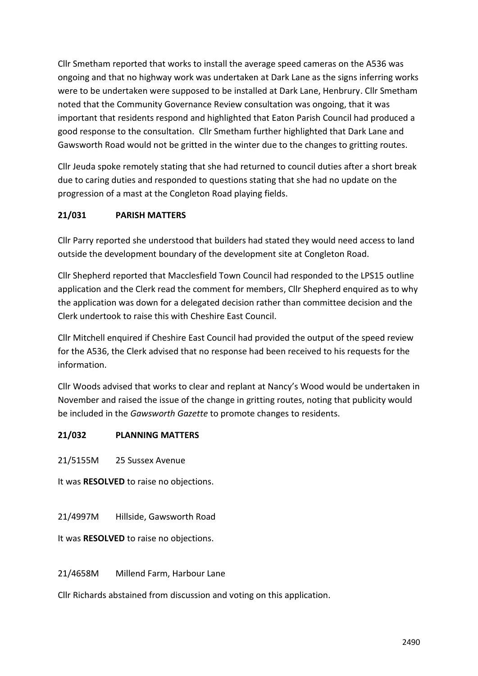Cllr Smetham reported that works to install the average speed cameras on the A536 was ongoing and that no highway work was undertaken at Dark Lane as the signs inferring works were to be undertaken were supposed to be installed at Dark Lane, Henbrury. Cllr Smetham noted that the Community Governance Review consultation was ongoing, that it was important that residents respond and highlighted that Eaton Parish Council had produced a good response to the consultation. Cllr Smetham further highlighted that Dark Lane and Gawsworth Road would not be gritted in the winter due to the changes to gritting routes.

Cllr Jeuda spoke remotely stating that she had returned to council duties after a short break due to caring duties and responded to questions stating that she had no update on the progression of a mast at the Congleton Road playing fields.

#### **21/031 PARISH MATTERS**

Cllr Parry reported she understood that builders had stated they would need access to land outside the development boundary of the development site at Congleton Road.

Cllr Shepherd reported that Macclesfield Town Council had responded to the LPS15 outline application and the Clerk read the comment for members, Cllr Shepherd enquired as to why the application was down for a delegated decision rather than committee decision and the Clerk undertook to raise this with Cheshire East Council.

Cllr Mitchell enquired if Cheshire East Council had provided the output of the speed review for the A536, the Clerk advised that no response had been received to his requests for the information.

Cllr Woods advised that works to clear and replant at Nancy's Wood would be undertaken in November and raised the issue of the change in gritting routes, noting that publicity would be included in the *Gawsworth Gazette* to promote changes to residents.

#### **21/032 PLANNING MATTERS**

21/5155M 25 Sussex Avenue

It was **RESOLVED** to raise no objections.

21/4997M Hillside, Gawsworth Road

It was **RESOLVED** to raise no objections.

21/4658M Millend Farm, Harbour Lane

Cllr Richards abstained from discussion and voting on this application.